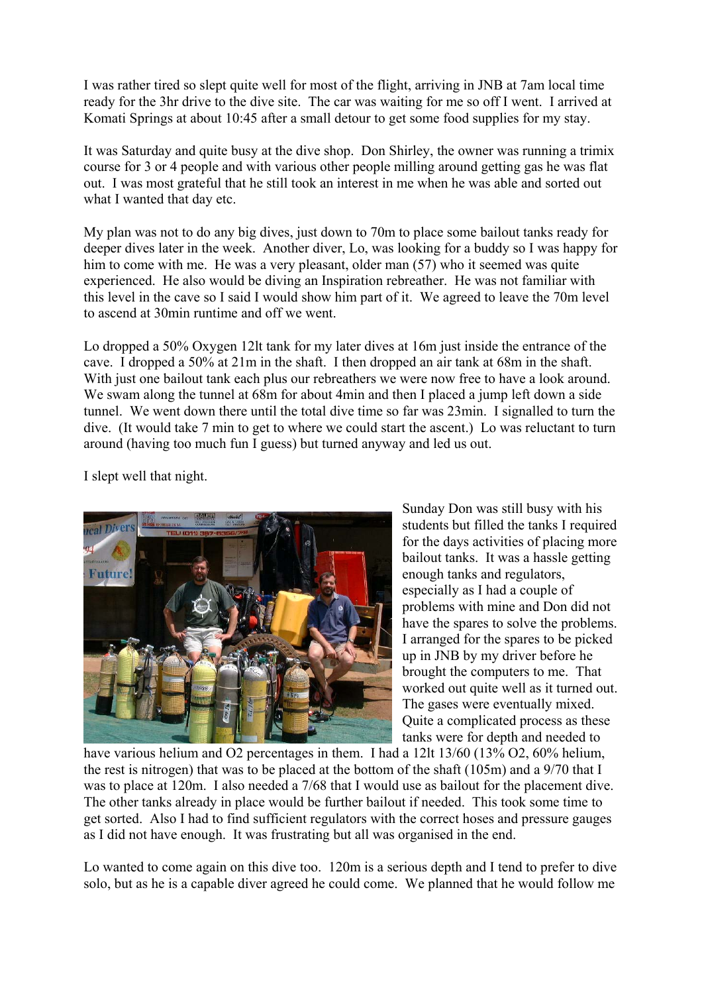I was rather tired so slept quite well for most of the flight, arriving in JNB at 7am local time ready for the 3hr drive to the dive site. The car was waiting for me so off I went. I arrived at Komati Springs at about 10:45 after a small detour to get some food supplies for my stay.

It was Saturday and quite busy at the dive shop. Don Shirley, the owner was running a trimix course for 3 or 4 people and with various other people milling around getting gas he was flat out. I was most grateful that he still took an interest in me when he was able and sorted out what I wanted that day etc.

My plan was not to do any big dives, just down to 70m to place some bailout tanks ready for deeper dives later in the week. Another diver, Lo, was looking for a buddy so I was happy for him to come with me. He was a very pleasant, older man (57) who it seemed was quite experienced. He also would be diving an Inspiration rebreather. He was not familiar with this level in the cave so I said I would show him part of it. We agreed to leave the 70m level to ascend at 30min runtime and off we went.

Lo dropped a 50% Oxygen 12lt tank for my later dives at 16m just inside the entrance of the cave. I dropped a 50% at 21m in the shaft. I then dropped an air tank at 68m in the shaft. With just one bailout tank each plus our rebreathers we were now free to have a look around. We swam along the tunnel at 68m for about 4min and then I placed a jump left down a side tunnel. We went down there until the total dive time so far was 23min. I signalled to turn the dive. (It would take 7 min to get to where we could start the ascent.) Lo was reluctant to turn around (having too much fun I guess) but turned anyway and led us out.

I slept well that night.



Sunday Don was still busy with his students but filled the tanks I required for the days activities of placing more bailout tanks. It was a hassle getting enough tanks and regulators, especially as I had a couple of problems with mine and Don did not have the spares to solve the problems. I arranged for the spares to be picked up in JNB by my driver before he brought the computers to me. That worked out quite well as it turned out. The gases were eventually mixed. Quite a complicated process as these tanks were for depth and needed to

have various helium and O2 percentages in them. I had a 12lt 13/60 (13% O2, 60% helium, the rest is nitrogen) that was to be placed at the bottom of the shaft (105m) and a 9/70 that I was to place at 120m. I also needed a 7/68 that I would use as bailout for the placement dive. The other tanks already in place would be further bailout if needed. This took some time to get sorted. Also I had to find sufficient regulators with the correct hoses and pressure gauges as I did not have enough. It was frustrating but all was organised in the end.

Lo wanted to come again on this dive too. 120m is a serious depth and I tend to prefer to dive solo, but as he is a capable diver agreed he could come. We planned that he would follow me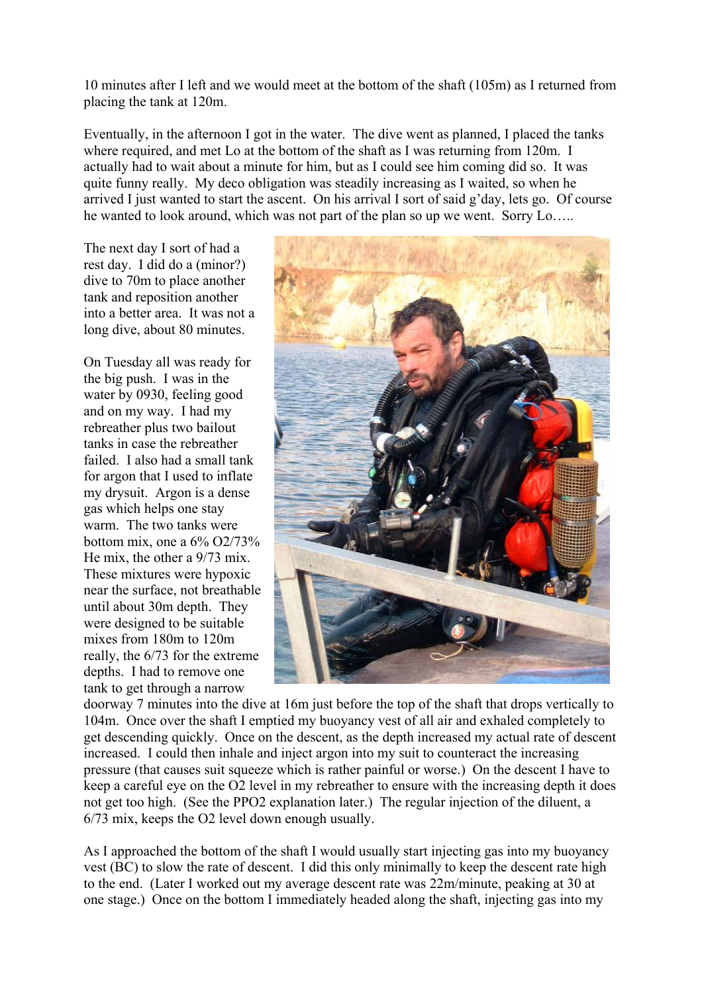10 minutes after I left and we would meet at the bottom of the shaft (105m) as I returned from placing the tank at 120m.

Eventually, in the afternoon I got in the water. The dive went as planned, I placed the tanks where required, and met Lo at the bottom of the shaft as I was returning from 120m. I actually had to wait about a minute for him, but as I could see him coming did so. It was quite funny really. My deco obligation was steadily increasing as I waited, so when he arrived I just wanted to start the ascent. On his arrival I sort of said g'day, lets go. Of course he wanted to look around, which was not part of the plan so up we went. Sorry Lo…..

The next day I sort of had a rest day. I did do a (minor?) dive to 70m to place another tank and reposition another into a better area. It was not a long dive, about 80 minutes.

On Tuesday all was ready for the big push. I was in the water by 0930, feeling good and on my way. I had my rebreather plus two bailout tanks in case the rebreather failed. I also had a small tank for argon that I used to inflate my drysuit. Argon is a dense gas which helps one stay warm. The two tanks were bottom mix, one a  $6\%$  O2/73% He mix, the other a 9/73 mix. These mixtures were hypoxic near the surface, not breathable until about 30m depth. They were designed to be suitable mixes from 180m to 120m really, the 6/73 for the extreme depths. I had to remove one tank to get through a narrow



doorway 7 minutes into the dive at 16m just before the top of the shaft that drops vertically to 104m. Once over the shaft I emptied my buoyancy vest of all air and exhaled completely to get descending quickly. Once on the descent, as the depth increased my actual rate of descent increased. I could then inhale and inject argon into my suit to counteract the increasing pressure (that causes suit squeeze which is rather painful or worse.) On the descent I have to keep a careful eye on the O2 level in my rebreather to ensure with the increasing depth it does not get too high. (See the PPO2 explanation later.) The regular injection of the diluent, a 6/73 mix, keeps the O2 level down enough usually.

As I approached the bottom of the shaft I would usually start injecting gas into my buoyancy vest (BC) to slow the rate of descent. I did this only minimally to keep the descent rate high to the end. (Later I worked out my average descent rate was 22m/minute, peaking at 30 at one stage.) Once on the bottom I immediately headed along the shaft, injecting gas into my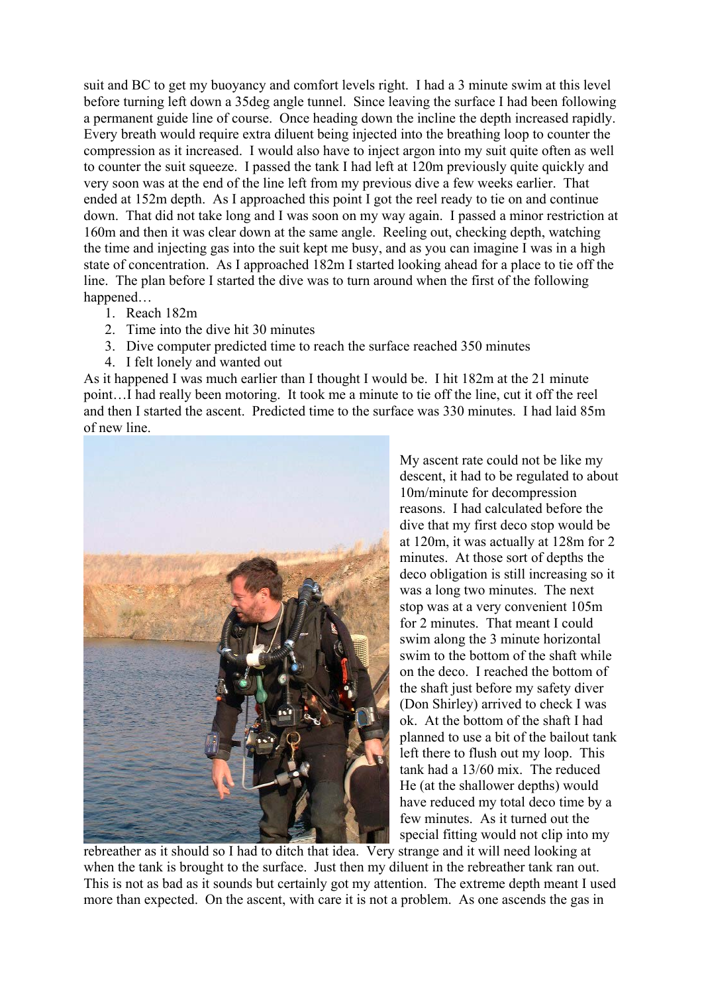suit and BC to get my buoyancy and comfort levels right. I had a 3 minute swim at this level before turning left down a 35deg angle tunnel. Since leaving the surface I had been following a permanent guide line of course. Once heading down the incline the depth increased rapidly. Every breath would require extra diluent being injected into the breathing loop to counter the compression as it increased. I would also have to inject argon into my suit quite often as well to counter the suit squeeze. I passed the tank I had left at 120m previously quite quickly and very soon was at the end of the line left from my previous dive a few weeks earlier. That ended at 152m depth. As I approached this point I got the reel ready to tie on and continue down. That did not take long and I was soon on my way again. I passed a minor restriction at 160m and then it was clear down at the same angle. Reeling out, checking depth, watching the time and injecting gas into the suit kept me busy, and as you can imagine I was in a high state of concentration. As I approached 182m I started looking ahead for a place to tie off the line. The plan before I started the dive was to turn around when the first of the following happened…

- 1. Reach 182m
- 2. Time into the dive hit 30 minutes
- 3. Dive computer predicted time to reach the surface reached 350 minutes
- 4. I felt lonely and wanted out

As it happened I was much earlier than I thought I would be. I hit 182m at the 21 minute point…I had really been motoring. It took me a minute to tie off the line, cut it off the reel and then I started the ascent. Predicted time to the surface was 330 minutes. I had laid 85m of new line.



My ascent rate could not be like my descent, it had to be regulated to about 10m/minute for decompression reasons. I had calculated before the dive that my first deco stop would be at 120m, it was actually at 128m for 2 minutes. At those sort of depths the deco obligation is still increasing so it was a long two minutes. The next stop was at a very convenient 105m for 2 minutes. That meant I could swim along the 3 minute horizontal swim to the bottom of the shaft while on the deco. I reached the bottom of the shaft just before my safety diver (Don Shirley) arrived to check I was ok. At the bottom of the shaft I had planned to use a bit of the bailout tank left there to flush out my loop. This tank had a 13/60 mix. The reduced He (at the shallower depths) would have reduced my total deco time by a few minutes. As it turned out the special fitting would not clip into my

rebreather as it should so I had to ditch that idea. Very strange and it will need looking at when the tank is brought to the surface. Just then my diluent in the rebreather tank ran out. This is not as bad as it sounds but certainly got my attention. The extreme depth meant I used more than expected. On the ascent, with care it is not a problem. As one ascends the gas in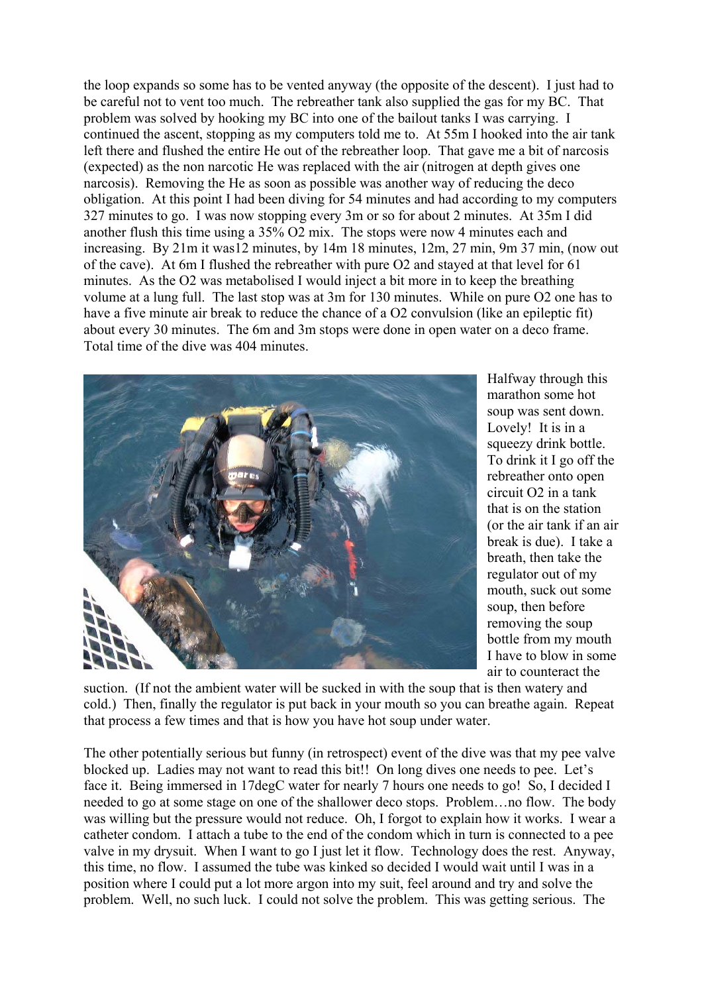the loop expands so some has to be vented anyway (the opposite of the descent). I just had to be careful not to vent too much. The rebreather tank also supplied the gas for my BC. That problem was solved by hooking my BC into one of the bailout tanks I was carrying. I continued the ascent, stopping as my computers told me to. At 55m I hooked into the air tank left there and flushed the entire He out of the rebreather loop. That gave me a bit of narcosis (expected) as the non narcotic He was replaced with the air (nitrogen at depth gives one narcosis). Removing the He as soon as possible was another way of reducing the deco obligation. At this point I had been diving for 54 minutes and had according to my computers 327 minutes to go. I was now stopping every 3m or so for about 2 minutes. At 35m I did another flush this time using a 35% O2 mix. The stops were now 4 minutes each and increasing. By 21m it was12 minutes, by 14m 18 minutes, 12m, 27 min, 9m 37 min, (now out of the cave). At 6m I flushed the rebreather with pure O2 and stayed at that level for 61 minutes. As the O2 was metabolised I would inject a bit more in to keep the breathing volume at a lung full. The last stop was at 3m for 130 minutes. While on pure O2 one has to have a five minute air break to reduce the chance of a O2 convulsion (like an epileptic fit) about every 30 minutes. The 6m and 3m stops were done in open water on a deco frame. Total time of the dive was 404 minutes.



Halfway through this marathon some hot soup was sent down. Lovely! It is in a squeezy drink bottle. To drink it I go off the rebreather onto open circuit O2 in a tank that is on the station (or the air tank if an air break is due). I take a breath, then take the regulator out of my mouth, suck out some soup, then before removing the soup bottle from my mouth I have to blow in some air to counteract the

suction. (If not the ambient water will be sucked in with the soup that is then watery and cold.) Then, finally the regulator is put back in your mouth so you can breathe again. Repeat that process a few times and that is how you have hot soup under water.

The other potentially serious but funny (in retrospect) event of the dive was that my pee valve blocked up. Ladies may not want to read this bit!! On long dives one needs to pee. Let's face it. Being immersed in 17degC water for nearly 7 hours one needs to go! So, I decided I needed to go at some stage on one of the shallower deco stops. Problem…no flow. The body was willing but the pressure would not reduce. Oh, I forgot to explain how it works. I wear a catheter condom. I attach a tube to the end of the condom which in turn is connected to a pee valve in my drysuit. When I want to go I just let it flow. Technology does the rest. Anyway, this time, no flow. I assumed the tube was kinked so decided I would wait until I was in a position where I could put a lot more argon into my suit, feel around and try and solve the problem. Well, no such luck. I could not solve the problem. This was getting serious. The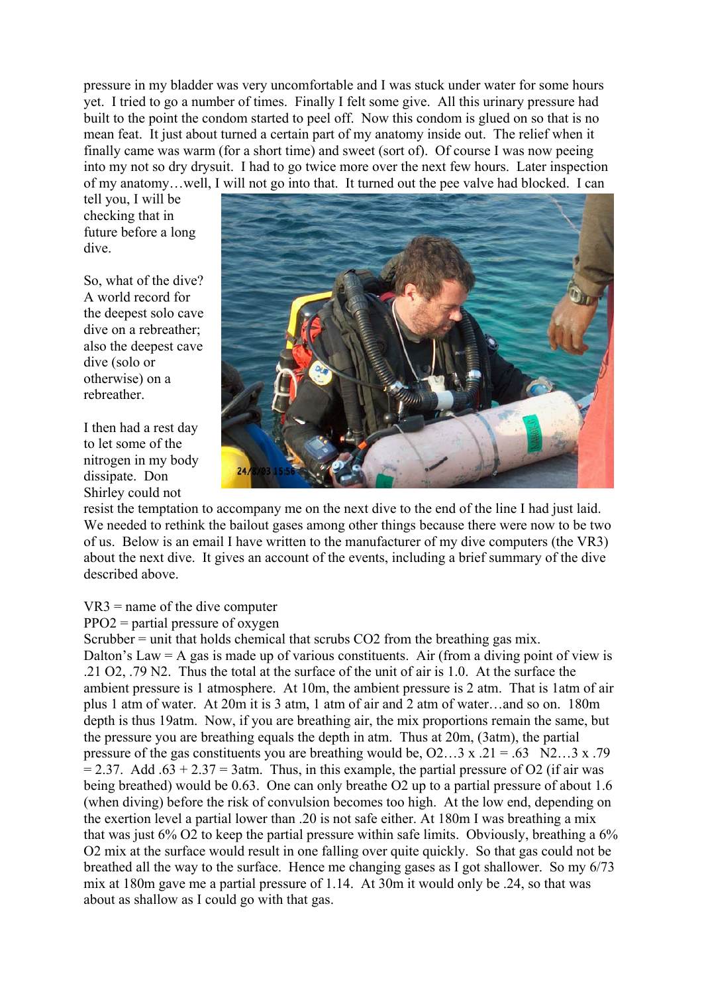pressure in my bladder was very uncomfortable and I was stuck under water for some hours yet. I tried to go a number of times. Finally I felt some give. All this urinary pressure had built to the point the condom started to peel off. Now this condom is glued on so that is no mean feat. It just about turned a certain part of my anatomy inside out. The relief when it finally came was warm (for a short time) and sweet (sort of). Of course I was now peeing into my not so dry drysuit. I had to go twice more over the next few hours. Later inspection of my anatomy…well, I will not go into that. It turned out the pee valve had blocked. I can

tell you, I will be checking that in future before a long dive.

So, what of the dive? A world record for the deepest solo cave dive on a rebreather; also the deepest cave dive (solo or otherwise) on a rebreather.

I then had a rest day to let some of the nitrogen in my body dissipate. Don Shirley could not



resist the temptation to accompany me on the next dive to the end of the line I had just laid. We needed to rethink the bailout gases among other things because there were now to be two of us. Below is an email I have written to the manufacturer of my dive computers (the VR3) about the next dive. It gives an account of the events, including a brief summary of the dive described above.

## VR3 = name of the dive computer

 $PPO2$  = partial pressure of oxygen

Scrubber = unit that holds chemical that scrubs CO2 from the breathing gas mix. Dalton's Law  $=$  A gas is made up of various constituents. Air (from a diving point of view is .21 O2, .79 N2. Thus the total at the surface of the unit of air is 1.0. At the surface the ambient pressure is 1 atmosphere. At 10m, the ambient pressure is 2 atm. That is 1atm of air plus 1 atm of water. At 20m it is 3 atm, 1 atm of air and 2 atm of water…and so on. 180m depth is thus 19atm. Now, if you are breathing air, the mix proportions remain the same, but the pressure you are breathing equals the depth in atm. Thus at 20m, (3atm), the partial pressure of the gas constituents you are breathing would be,  $O2...3 \times .21 = .63$  N2…3 x .79  $= 2.37$ . Add  $.63 + 2.37 = 3$ atm. Thus, in this example, the partial pressure of O2 (if air was being breathed) would be 0.63. One can only breathe O2 up to a partial pressure of about 1.6 (when diving) before the risk of convulsion becomes too high. At the low end, depending on the exertion level a partial lower than .20 is not safe either. At 180m I was breathing a mix that was just  $6\%$  O2 to keep the partial pressure within safe limits. Obviously, breathing a  $6\%$ O2 mix at the surface would result in one falling over quite quickly. So that gas could not be breathed all the way to the surface. Hence me changing gases as I got shallower. So my 6/73 mix at 180m gave me a partial pressure of 1.14. At 30m it would only be .24, so that was about as shallow as I could go with that gas.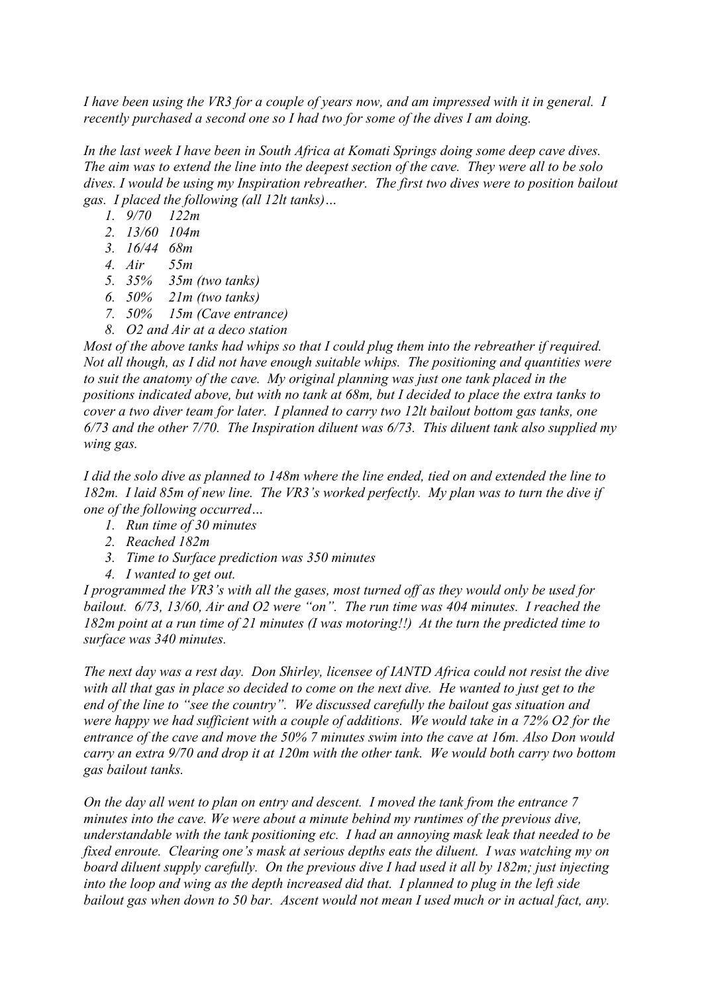*I have been using the VR3 for a couple of years now, and am impressed with it in general. I recently purchased a second one so I had two for some of the dives I am doing.* 

*In the last week I have been in South Africa at Komati Springs doing some deep cave dives. The aim was to extend the line into the deepest section of the cave. They were all to be solo dives. I would be using my Inspiration rebreather. The first two dives were to position bailout gas. I placed the following (all 12lt tanks)…* 

- *1. 9/70 122m*
- *2. 13/60 104m*
- *3. 16/44 68m*
- *4. Air 55m*
- *5. 35% 35m (two tanks)*
- *6. 50% 21m (two tanks)*
- *7. 50% 15m (Cave entrance)*
- *8. O2 and Air at a deco station*

*Most of the above tanks had whips so that I could plug them into the rebreather if required. Not all though, as I did not have enough suitable whips. The positioning and quantities were to suit the anatomy of the cave. My original planning was just one tank placed in the positions indicated above, but with no tank at 68m, but I decided to place the extra tanks to cover a two diver team for later. I planned to carry two 12lt bailout bottom gas tanks, one 6/73 and the other 7/70. The Inspiration diluent was 6/73. This diluent tank also supplied my wing gas.* 

*I did the solo dive as planned to 148m where the line ended, tied on and extended the line to 182m. I laid 85m of new line. The VR3's worked perfectly. My plan was to turn the dive if one of the following occurred…* 

- *1. Run time of 30 minutes*
- *2. Reached 182m*
- *3. Time to Surface prediction was 350 minutes*
- *4. I wanted to get out.*

*I programmed the VR3's with all the gases, most turned off as they would only be used for bailout. 6/73, 13/60, Air and O2 were "on". The run time was 404 minutes. I reached the 182m point at a run time of 21 minutes (I was motoring!!) At the turn the predicted time to surface was 340 minutes.* 

*The next day was a rest day. Don Shirley, licensee of IANTD Africa could not resist the dive with all that gas in place so decided to come on the next dive. He wanted to just get to the end of the line to "see the country". We discussed carefully the bailout gas situation and were happy we had sufficient with a couple of additions. We would take in a 72% O2 for the entrance of the cave and move the 50% 7 minutes swim into the cave at 16m. Also Don would carry an extra 9/70 and drop it at 120m with the other tank. We would both carry two bottom gas bailout tanks.* 

*On the day all went to plan on entry and descent. I moved the tank from the entrance 7 minutes into the cave. We were about a minute behind my runtimes of the previous dive, understandable with the tank positioning etc. I had an annoying mask leak that needed to be fixed enroute. Clearing one's mask at serious depths eats the diluent. I was watching my on board diluent supply carefully. On the previous dive I had used it all by 182m; just injecting into the loop and wing as the depth increased did that. I planned to plug in the left side bailout gas when down to 50 bar. Ascent would not mean I used much or in actual fact, any.*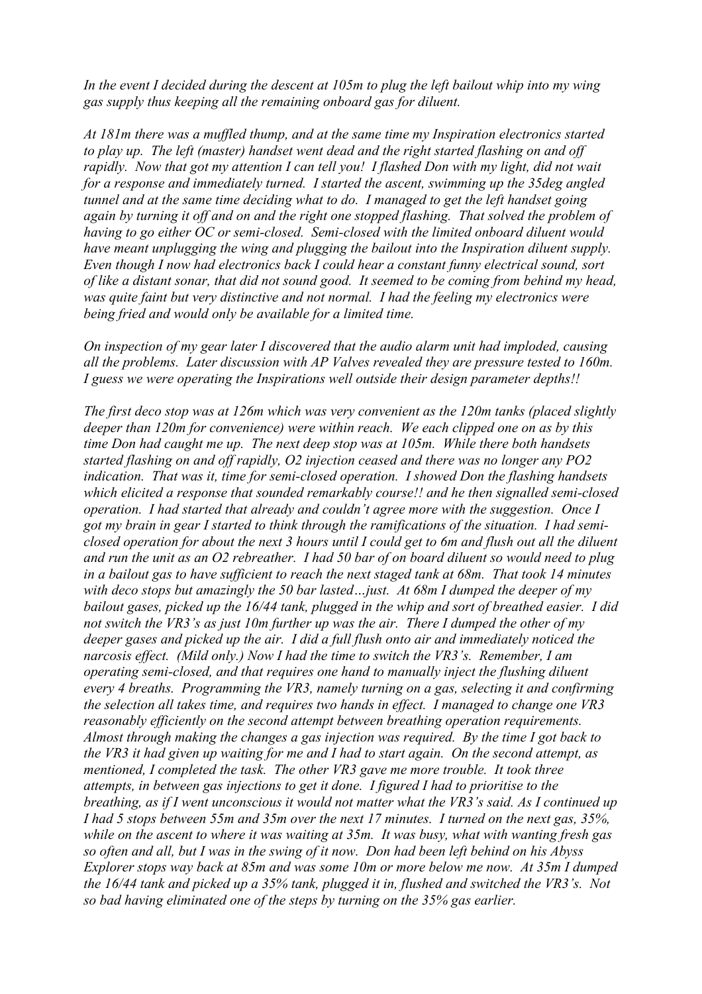*In the event I decided during the descent at 105m to plug the left bailout whip into my wing gas supply thus keeping all the remaining onboard gas for diluent.* 

*At 181m there was a muffled thump, and at the same time my Inspiration electronics started to play up. The left (master) handset went dead and the right started flashing on and off rapidly. Now that got my attention I can tell you! I flashed Don with my light, did not wait for a response and immediately turned. I started the ascent, swimming up the 35deg angled tunnel and at the same time deciding what to do. I managed to get the left handset going again by turning it off and on and the right one stopped flashing. That solved the problem of having to go either OC or semi-closed. Semi-closed with the limited onboard diluent would have meant unplugging the wing and plugging the bailout into the Inspiration diluent supply. Even though I now had electronics back I could hear a constant funny electrical sound, sort of like a distant sonar, that did not sound good. It seemed to be coming from behind my head, was quite faint but very distinctive and not normal. I had the feeling my electronics were being fried and would only be available for a limited time.* 

*On inspection of my gear later I discovered that the audio alarm unit had imploded, causing all the problems. Later discussion with AP Valves revealed they are pressure tested to 160m. I guess we were operating the Inspirations well outside their design parameter depths!!* 

*The first deco stop was at 126m which was very convenient as the 120m tanks (placed slightly deeper than 120m for convenience) were within reach. We each clipped one on as by this time Don had caught me up. The next deep stop was at 105m. While there both handsets started flashing on and off rapidly, O2 injection ceased and there was no longer any PO2 indication. That was it, time for semi-closed operation. I showed Don the flashing handsets which elicited a response that sounded remarkably course!! and he then signalled semi-closed operation. I had started that already and couldn't agree more with the suggestion. Once I got my brain in gear I started to think through the ramifications of the situation. I had semiclosed operation for about the next 3 hours until I could get to 6m and flush out all the diluent and run the unit as an O2 rebreather. I had 50 bar of on board diluent so would need to plug in a bailout gas to have sufficient to reach the next staged tank at 68m. That took 14 minutes with deco stops but amazingly the 50 bar lasted…just. At 68m I dumped the deeper of my bailout gases, picked up the 16/44 tank, plugged in the whip and sort of breathed easier. I did not switch the VR3's as just 10m further up was the air. There I dumped the other of my deeper gases and picked up the air. I did a full flush onto air and immediately noticed the narcosis effect. (Mild only.) Now I had the time to switch the VR3's. Remember, I am operating semi-closed, and that requires one hand to manually inject the flushing diluent every 4 breaths. Programming the VR3, namely turning on a gas, selecting it and confirming the selection all takes time, and requires two hands in effect. I managed to change one VR3 reasonably efficiently on the second attempt between breathing operation requirements. Almost through making the changes a gas injection was required. By the time I got back to the VR3 it had given up waiting for me and I had to start again. On the second attempt, as mentioned, I completed the task. The other VR3 gave me more trouble. It took three attempts, in between gas injections to get it done. I figured I had to prioritise to the breathing, as if I went unconscious it would not matter what the VR3's said. As I continued up I had 5 stops between 55m and 35m over the next 17 minutes. I turned on the next gas, 35%, while on the ascent to where it was waiting at 35m. It was busy, what with wanting fresh gas so often and all, but I was in the swing of it now. Don had been left behind on his Abyss Explorer stops way back at 85m and was some 10m or more below me now. At 35m I dumped the 16/44 tank and picked up a 35% tank, plugged it in, flushed and switched the VR3's. Not so bad having eliminated one of the steps by turning on the 35% gas earlier.*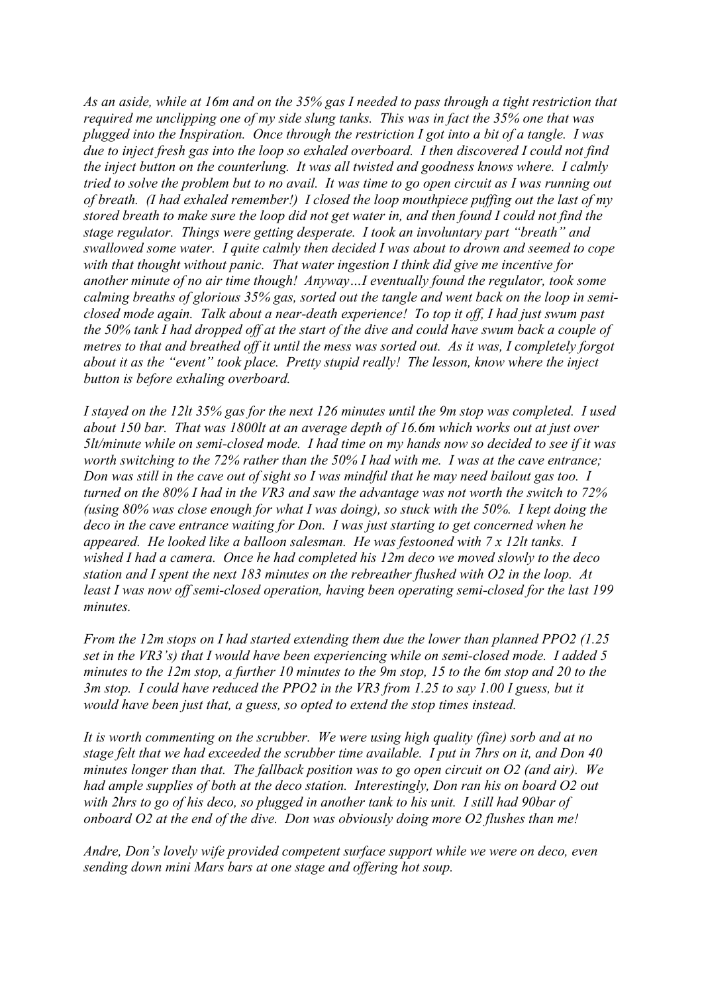*As an aside, while at 16m and on the 35% gas I needed to pass through a tight restriction that required me unclipping one of my side slung tanks. This was in fact the 35% one that was plugged into the Inspiration. Once through the restriction I got into a bit of a tangle. I was due to inject fresh gas into the loop so exhaled overboard. I then discovered I could not find the inject button on the counterlung. It was all twisted and goodness knows where. I calmly tried to solve the problem but to no avail. It was time to go open circuit as I was running out of breath. (I had exhaled remember!) I closed the loop mouthpiece puffing out the last of my stored breath to make sure the loop did not get water in, and then found I could not find the stage regulator. Things were getting desperate. I took an involuntary part "breath" and swallowed some water. I quite calmly then decided I was about to drown and seemed to cope with that thought without panic. That water ingestion I think did give me incentive for another minute of no air time though! Anyway…I eventually found the regulator, took some calming breaths of glorious 35% gas, sorted out the tangle and went back on the loop in semiclosed mode again. Talk about a near-death experience! To top it off, I had just swum past the 50% tank I had dropped off at the start of the dive and could have swum back a couple of metres to that and breathed off it until the mess was sorted out. As it was, I completely forgot about it as the "event" took place. Pretty stupid really! The lesson, know where the inject button is before exhaling overboard.* 

*I stayed on the 12lt 35% gas for the next 126 minutes until the 9m stop was completed. I used about 150 bar. That was 1800lt at an average depth of 16.6m which works out at just over 5lt/minute while on semi-closed mode. I had time on my hands now so decided to see if it was worth switching to the 72% rather than the 50% I had with me. I was at the cave entrance; Don was still in the cave out of sight so I was mindful that he may need bailout gas too. I turned on the 80% I had in the VR3 and saw the advantage was not worth the switch to 72% (using 80% was close enough for what I was doing), so stuck with the 50%. I kept doing the deco in the cave entrance waiting for Don. I was just starting to get concerned when he appeared. He looked like a balloon salesman. He was festooned with 7 x 12lt tanks. I wished I had a camera. Once he had completed his 12m deco we moved slowly to the deco station and I spent the next 183 minutes on the rebreather flushed with O2 in the loop. At least I was now off semi-closed operation, having been operating semi-closed for the last 199 minutes.* 

*From the 12m stops on I had started extending them due the lower than planned PPO2 (1.25 set in the VR3's) that I would have been experiencing while on semi-closed mode. I added 5 minutes to the 12m stop, a further 10 minutes to the 9m stop, 15 to the 6m stop and 20 to the 3m stop. I could have reduced the PPO2 in the VR3 from 1.25 to say 1.00 I guess, but it would have been just that, a guess, so opted to extend the stop times instead.* 

*It is worth commenting on the scrubber. We were using high quality (fine) sorb and at no stage felt that we had exceeded the scrubber time available. I put in 7hrs on it, and Don 40 minutes longer than that. The fallback position was to go open circuit on O2 (and air). We had ample supplies of both at the deco station. Interestingly, Don ran his on board O2 out with 2hrs to go of his deco, so plugged in another tank to his unit. I still had 90bar of onboard O2 at the end of the dive. Don was obviously doing more O2 flushes than me!* 

*Andre, Don's lovely wife provided competent surface support while we were on deco, even sending down mini Mars bars at one stage and offering hot soup.*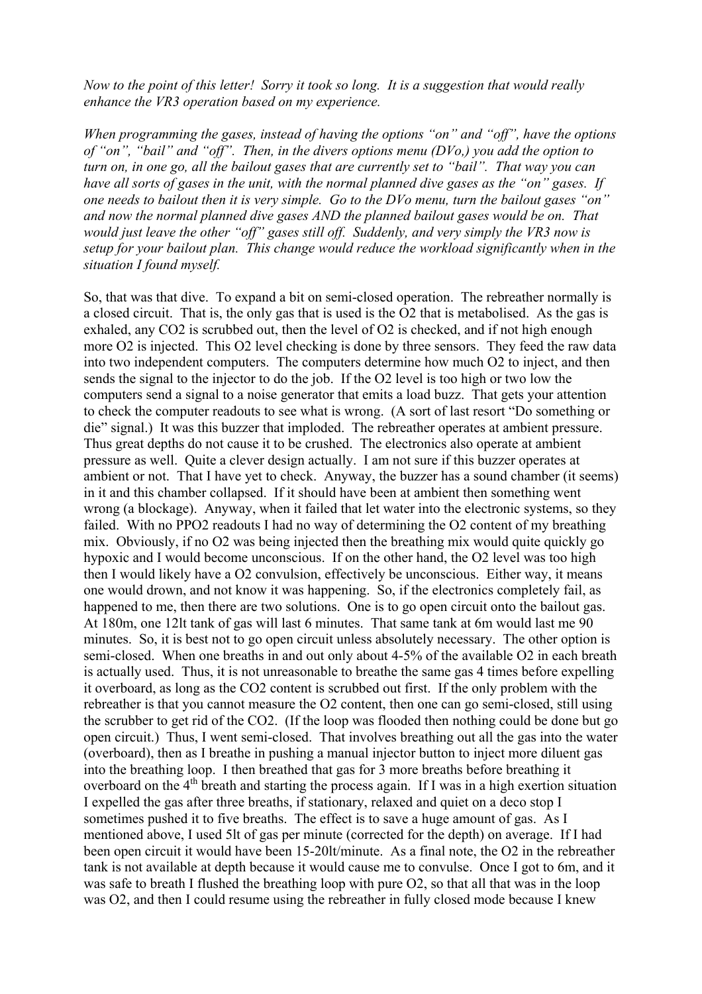*Now to the point of this letter! Sorry it took so long. It is a suggestion that would really enhance the VR3 operation based on my experience.* 

*When programming the gases, instead of having the options "on" and "off", have the options of "on", "bail" and "off". Then, in the divers options menu (DVo,) you add the option to turn on, in one go, all the bailout gases that are currently set to "bail". That way you can have all sorts of gases in the unit, with the normal planned dive gases as the "on" gases. If one needs to bailout then it is very simple. Go to the DVo menu, turn the bailout gases "on" and now the normal planned dive gases AND the planned bailout gases would be on. That would just leave the other "off" gases still off. Suddenly, and very simply the VR3 now is setup for your bailout plan. This change would reduce the workload significantly when in the situation I found myself.* 

So, that was that dive. To expand a bit on semi-closed operation. The rebreather normally is a closed circuit. That is, the only gas that is used is the O2 that is metabolised. As the gas is exhaled, any CO2 is scrubbed out, then the level of O2 is checked, and if not high enough more O2 is injected. This O2 level checking is done by three sensors. They feed the raw data into two independent computers. The computers determine how much O2 to inject, and then sends the signal to the injector to do the job. If the O2 level is too high or two low the computers send a signal to a noise generator that emits a load buzz. That gets your attention to check the computer readouts to see what is wrong. (A sort of last resort "Do something or die" signal.) It was this buzzer that imploded. The rebreather operates at ambient pressure. Thus great depths do not cause it to be crushed. The electronics also operate at ambient pressure as well. Quite a clever design actually. I am not sure if this buzzer operates at ambient or not. That I have yet to check. Anyway, the buzzer has a sound chamber (it seems) in it and this chamber collapsed. If it should have been at ambient then something went wrong (a blockage). Anyway, when it failed that let water into the electronic systems, so they failed. With no PPO2 readouts I had no way of determining the O2 content of my breathing mix. Obviously, if no O2 was being injected then the breathing mix would quite quickly go hypoxic and I would become unconscious. If on the other hand, the O2 level was too high then I would likely have a O2 convulsion, effectively be unconscious. Either way, it means one would drown, and not know it was happening. So, if the electronics completely fail, as happened to me, then there are two solutions. One is to go open circuit onto the bailout gas. At 180m, one 12lt tank of gas will last 6 minutes. That same tank at 6m would last me 90 minutes. So, it is best not to go open circuit unless absolutely necessary. The other option is semi-closed. When one breaths in and out only about 4-5% of the available O2 in each breath is actually used. Thus, it is not unreasonable to breathe the same gas 4 times before expelling it overboard, as long as the CO2 content is scrubbed out first. If the only problem with the rebreather is that you cannot measure the O2 content, then one can go semi-closed, still using the scrubber to get rid of the CO2. (If the loop was flooded then nothing could be done but go open circuit.) Thus, I went semi-closed. That involves breathing out all the gas into the water (overboard), then as I breathe in pushing a manual injector button to inject more diluent gas into the breathing loop. I then breathed that gas for 3 more breaths before breathing it overboard on the 4<sup>th</sup> breath and starting the process again. If I was in a high exertion situation I expelled the gas after three breaths, if stationary, relaxed and quiet on a deco stop I sometimes pushed it to five breaths. The effect is to save a huge amount of gas. As I mentioned above, I used 5lt of gas per minute (corrected for the depth) on average. If I had been open circuit it would have been 15-20lt/minute. As a final note, the O2 in the rebreather tank is not available at depth because it would cause me to convulse. Once I got to 6m, and it was safe to breath I flushed the breathing loop with pure O2, so that all that was in the loop was O2, and then I could resume using the rebreather in fully closed mode because I knew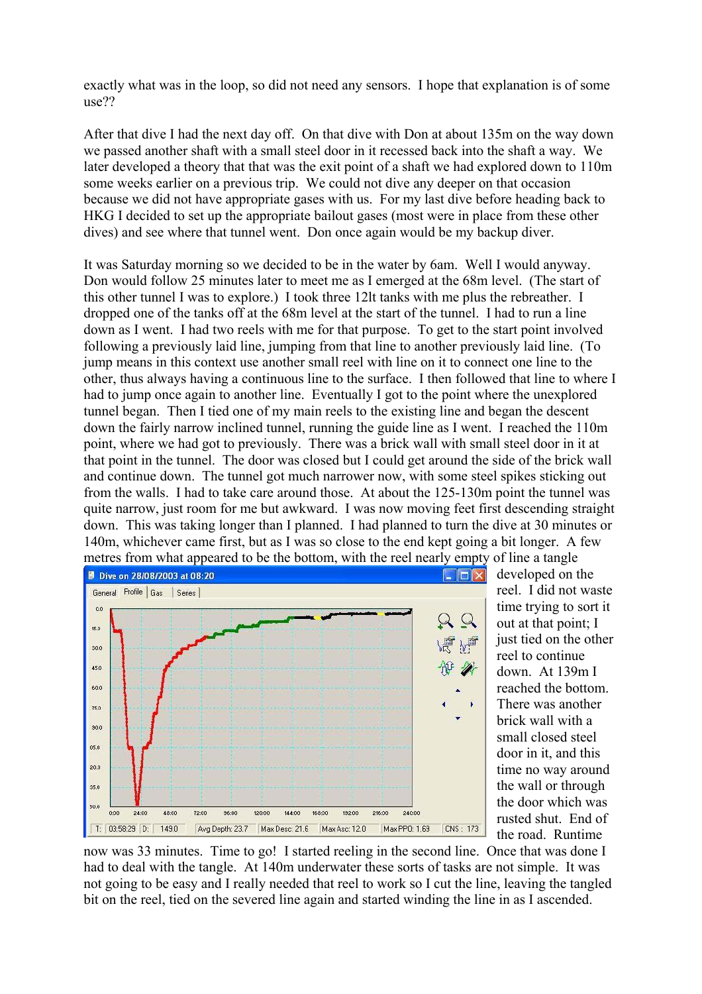exactly what was in the loop, so did not need any sensors. I hope that explanation is of some use??

After that dive I had the next day off. On that dive with Don at about 135m on the way down we passed another shaft with a small steel door in it recessed back into the shaft a way. We later developed a theory that that was the exit point of a shaft we had explored down to 110m some weeks earlier on a previous trip. We could not dive any deeper on that occasion because we did not have appropriate gases with us. For my last dive before heading back to HKG I decided to set up the appropriate bailout gases (most were in place from these other dives) and see where that tunnel went. Don once again would be my backup diver.

It was Saturday morning so we decided to be in the water by 6am. Well I would anyway. Don would follow 25 minutes later to meet me as I emerged at the 68m level. (The start of this other tunnel I was to explore.) I took three 12lt tanks with me plus the rebreather. I dropped one of the tanks off at the 68m level at the start of the tunnel. I had to run a line down as I went. I had two reels with me for that purpose. To get to the start point involved following a previously laid line, jumping from that line to another previously laid line. (To jump means in this context use another small reel with line on it to connect one line to the other, thus always having a continuous line to the surface. I then followed that line to where I had to jump once again to another line. Eventually I got to the point where the unexplored tunnel began. Then I tied one of my main reels to the existing line and began the descent down the fairly narrow inclined tunnel, running the guide line as I went. I reached the 110m point, where we had got to previously. There was a brick wall with small steel door in it at that point in the tunnel. The door was closed but I could get around the side of the brick wall and continue down. The tunnel got much narrower now, with some steel spikes sticking out from the walls. I had to take care around those. At about the 125-130m point the tunnel was quite narrow, just room for me but awkward. I was now moving feet first descending straight down. This was taking longer than I planned. I had planned to turn the dive at 30 minutes or 140m, whichever came first, but as I was so close to the end kept going a bit longer. A few metres from what appeared to be the bottom, with the reel nearly empty of line a tangle



developed on the reel. I did not waste time trying to sort it out at that point; I just tied on the other reel to continue down. At 139m I reached the bottom. There was another brick wall with a small closed steel door in it, and this time no way around the wall or through the door which was rusted shut. End of the road. Runtime

now was 33 minutes. Time to go! I started reeling in the second line. Once that was done I had to deal with the tangle. At 140m underwater these sorts of tasks are not simple. It was not going to be easy and I really needed that reel to work so I cut the line, leaving the tangled bit on the reel, tied on the severed line again and started winding the line in as I ascended.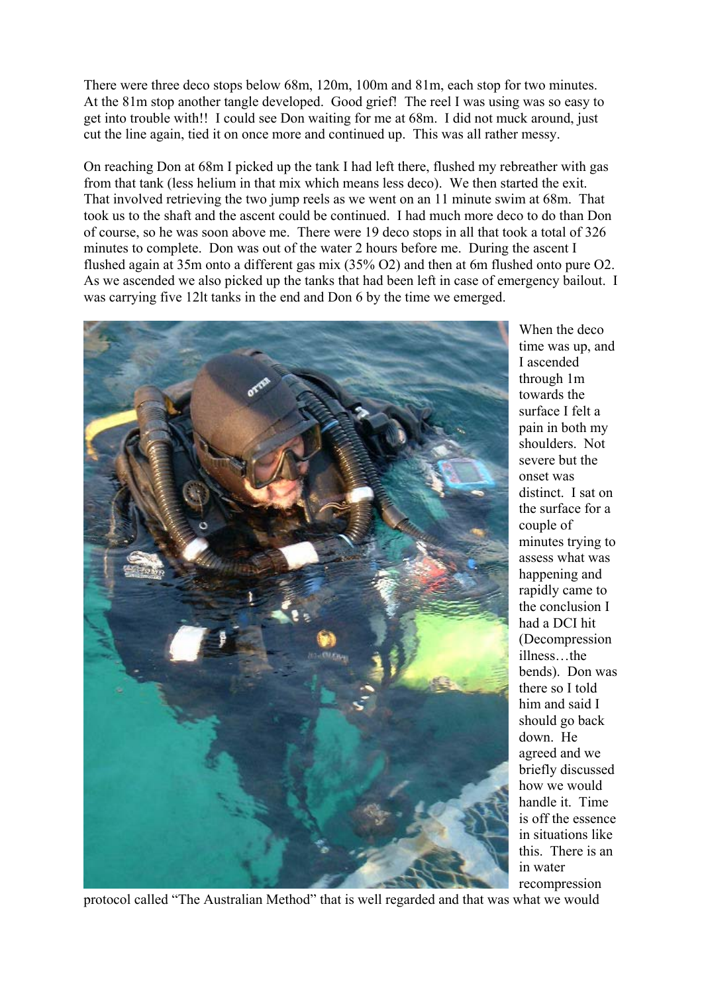There were three deco stops below 68m, 120m, 100m and 81m, each stop for two minutes. At the 81m stop another tangle developed. Good grief! The reel I was using was so easy to get into trouble with!! I could see Don waiting for me at 68m. I did not muck around, just cut the line again, tied it on once more and continued up. This was all rather messy.

On reaching Don at 68m I picked up the tank I had left there, flushed my rebreather with gas from that tank (less helium in that mix which means less deco). We then started the exit. That involved retrieving the two jump reels as we went on an 11 minute swim at 68m. That took us to the shaft and the ascent could be continued. I had much more deco to do than Don of course, so he was soon above me. There were 19 deco stops in all that took a total of 326 minutes to complete. Don was out of the water 2 hours before me. During the ascent I flushed again at 35m onto a different gas mix (35% O2) and then at 6m flushed onto pure O2. As we ascended we also picked up the tanks that had been left in case of emergency bailout. I was carrying five 12lt tanks in the end and Don 6 by the time we emerged.



When the deco time was up, and I ascended through 1m towards the surface I felt a pain in both my shoulders. Not severe but the onset was distinct. I sat on the surface for a couple of minutes trying to assess what was happening and rapidly came to the conclusion I had a DCI hit (Decompression illness…the bends). Don was there so I told him and said I should go back down. He agreed and we briefly discussed how we would handle it. Time is off the essence in situations like this. There is an in water recompression

protocol called "The Australian Method" that is well regarded and that was what we would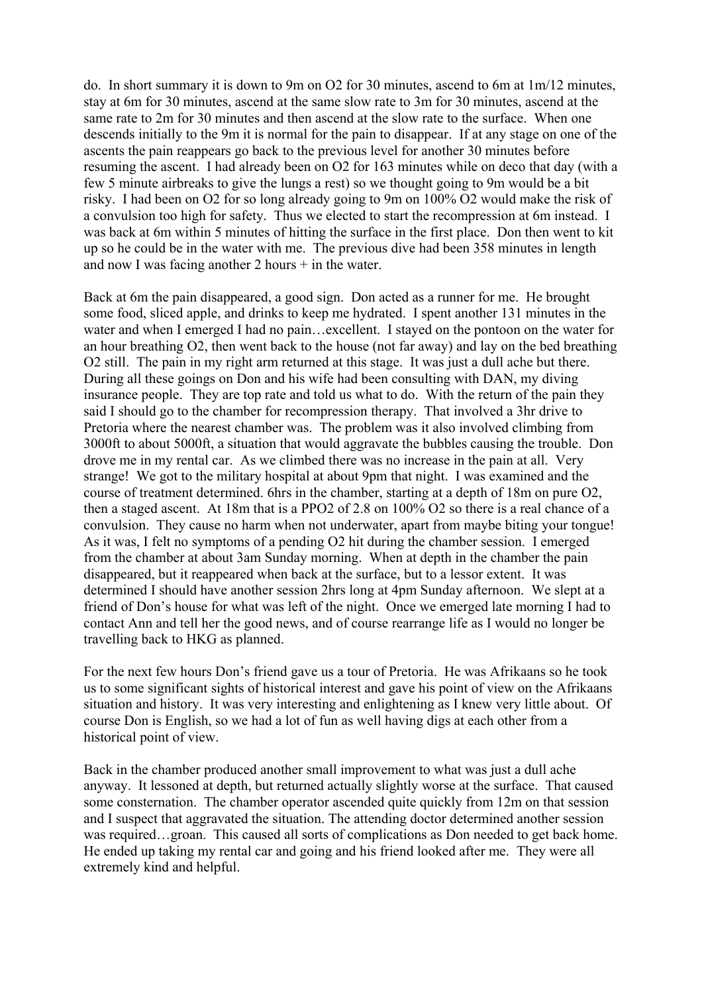do. In short summary it is down to 9m on O2 for 30 minutes, ascend to 6m at 1m/12 minutes, stay at 6m for 30 minutes, ascend at the same slow rate to 3m for 30 minutes, ascend at the same rate to 2m for 30 minutes and then ascend at the slow rate to the surface. When one descends initially to the 9m it is normal for the pain to disappear. If at any stage on one of the ascents the pain reappears go back to the previous level for another 30 minutes before resuming the ascent. I had already been on O2 for 163 minutes while on deco that day (with a few 5 minute airbreaks to give the lungs a rest) so we thought going to 9m would be a bit risky. I had been on O2 for so long already going to 9m on 100% O2 would make the risk of a convulsion too high for safety. Thus we elected to start the recompression at 6m instead. I was back at 6m within 5 minutes of hitting the surface in the first place. Don then went to kit up so he could be in the water with me. The previous dive had been 358 minutes in length and now I was facing another  $2$  hours  $+$  in the water.

Back at 6m the pain disappeared, a good sign. Don acted as a runner for me. He brought some food, sliced apple, and drinks to keep me hydrated. I spent another 131 minutes in the water and when I emerged I had no pain…excellent. I stayed on the pontoon on the water for an hour breathing O2, then went back to the house (not far away) and lay on the bed breathing O2 still. The pain in my right arm returned at this stage. It was just a dull ache but there. During all these goings on Don and his wife had been consulting with DAN, my diving insurance people. They are top rate and told us what to do. With the return of the pain they said I should go to the chamber for recompression therapy. That involved a 3hr drive to Pretoria where the nearest chamber was. The problem was it also involved climbing from 3000ft to about 5000ft, a situation that would aggravate the bubbles causing the trouble. Don drove me in my rental car. As we climbed there was no increase in the pain at all. Very strange! We got to the military hospital at about 9pm that night. I was examined and the course of treatment determined. 6hrs in the chamber, starting at a depth of 18m on pure O2, then a staged ascent. At 18m that is a PPO2 of 2.8 on 100% O2 so there is a real chance of a convulsion. They cause no harm when not underwater, apart from maybe biting your tongue! As it was, I felt no symptoms of a pending O2 hit during the chamber session. I emerged from the chamber at about 3am Sunday morning. When at depth in the chamber the pain disappeared, but it reappeared when back at the surface, but to a lessor extent. It was determined I should have another session 2hrs long at 4pm Sunday afternoon. We slept at a friend of Don's house for what was left of the night. Once we emerged late morning I had to contact Ann and tell her the good news, and of course rearrange life as I would no longer be travelling back to HKG as planned.

For the next few hours Don's friend gave us a tour of Pretoria. He was Afrikaans so he took us to some significant sights of historical interest and gave his point of view on the Afrikaans situation and history. It was very interesting and enlightening as I knew very little about. Of course Don is English, so we had a lot of fun as well having digs at each other from a historical point of view.

Back in the chamber produced another small improvement to what was just a dull ache anyway. It lessoned at depth, but returned actually slightly worse at the surface. That caused some consternation. The chamber operator ascended quite quickly from 12m on that session and I suspect that aggravated the situation. The attending doctor determined another session was required…groan. This caused all sorts of complications as Don needed to get back home. He ended up taking my rental car and going and his friend looked after me. They were all extremely kind and helpful.